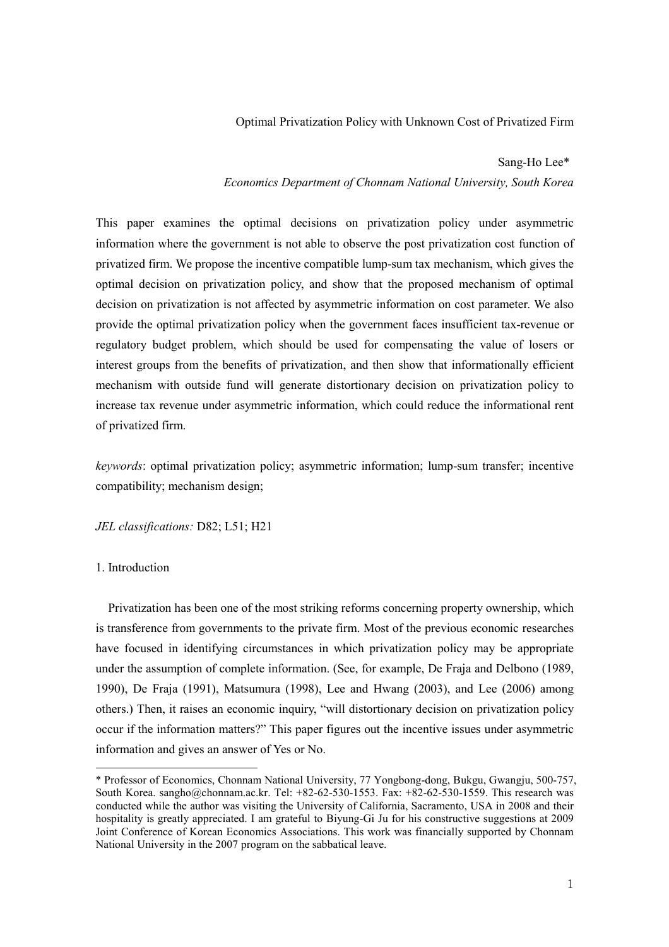# Optimal Privatization Policy with Unknown Cost of Privatized Firm

Sang-Ho Lee\*<sup>1</sup>

Economics Department of Chonnam National University, South Korea

This paper examines the optimal decisions on privatization policy under asymmetric information where the government is not able to observe the post privatization cost function of privatized firm. We propose the incentive compatible lump-sum tax mechanism, which gives the optimal decision on privatization policy, and show that the proposed mechanism of optimal decision on privatization is not affected by asymmetric information on cost parameter. We also provide the optimal privatization policy when the government faces insufficient tax-revenue or regulatory budget problem, which should be used for compensating the value of losers or interest groups from the benefits of privatization, and then show that informationally efficient mechanism with outside fund will generate distortionary decision on privatization policy to increase tax revenue under asymmetric information, which could reduce the informational rent of privatized firm.

keywords: optimal privatization policy; asymmetric information; lump-sum transfer; incentive compatibility; mechanism design;

JEL classifications: D82; L51; H21

<u> 1989 - Johann Barn, mars ann an t-Amhair an t-Amhair an t-Amhair an t-Amhair an t-Amhair an t-Amhair an t-Amh</u>

### 1. Introduction

Privatization has been one of the most striking reforms concerning property ownership, which is transference from governments to the private firm. Most of the previous economic researches have focused in identifying circumstances in which privatization policy may be appropriate under the assumption of complete information. (See, for example, De Fraja and Delbono (1989, 1990), De Fraja (1991), Matsumura (1998), Lee and Hwang (2003), and Lee (2006) among others.) Then, it raises an economic inquiry, "will distortionary decision on privatization policy occur if the information matters?" This paper figures out the incentive issues under asymmetric information and gives an answer of Yes or No.

<sup>\*</sup> Professor of Economics, Chonnam National University, 77 Yongbong-dong, Bukgu, Gwangju, 500-757, South Korea. sangho@chonnam.ac.kr. Tel: +82-62-530-1553. Fax: +82-62-530-1559. This research was conducted while the author was visiting the University of California, Sacramento, USA in 2008 and their hospitality is greatly appreciated. I am grateful to Biyung-Gi Ju for his constructive suggestions at 2009 Joint Conference of Korean Economics Associations. This work was financially supported by Chonnam National University in the 2007 program on the sabbatical leave.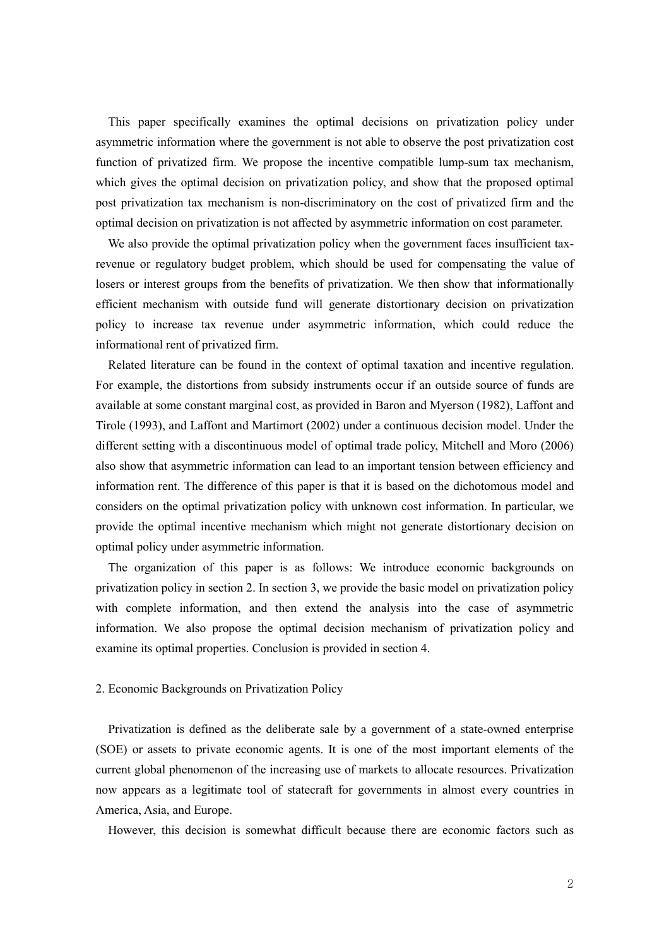asymmetric information where the government is not able to observe the post privatization cost function of privatized firm. We propose the incentive compatible lump-sum tax mechanism, which gives the optimal decision on privatization policy, and show that the proposed optimal post privatization tax mechanism is non-discriminatory on the cost of privatized firm and the optimal decision on privatization is not affected by asymmetric information on cost parameter.

We also provide the optimal privatization policy when the government faces insufficient taxrevenue or regulatory budget problem, which should be used for compensating the value of losers or interest groups from the benefits of privatization. We then show that informationally efficient mechanism with outside fund will generate distortionary decision on privatization policy to increase tax revenue under asymmetric information, which could reduce the informational rent of privatized firm.

This paper specifically examines the optimal decisions on privatization policy under<br>the paper specifically examines the optimal decisions of privatization osticular of privatization of privatization firm. We propose the Related literature can be found in the context of optimal taxation and incentive regulation. For example, the distortions from subsidy instruments occur if an outside source of funds are available at some constant marginal cost, as provided in Baron and Myerson (1982), Laffont and Tirole (1993), and Laffont and Martimort (2002) under a continuous decision model. Under the different setting with a discontinuous model of optimal trade policy, Mitchell and Moro (2006) also show that asymmetric information can lead to an important tension between efficiency and information rent. The difference of this paper is that it is based on the dichotomous model and considers on the optimal privatization policy with unknown cost information. In particular, we provide the optimal incentive mechanism which might not generate distortionary decision on optimal policy under asymmetric information.

The organization of this paper is as follows: We introduce economic backgrounds on privatization policy in section 2. In section 3, we provide the basic model on privatization policy with complete information, and then extend the analysis into the case of asymmetric information. We also propose the optimal decision mechanism of privatization policy and examine its optimal properties. Conclusion is provided in section 4.

#### 2. Economic Backgrounds on Privatization Policy

Privatization is defined as the deliberate sale by a government of a state-owned enterprise (SOE) or assets to private economic agents. It is one of the most important elements of the current global phenomenon of the increasing use of markets to allocate resources. Privatization now appears as a legitimate tool of statecraft for governments in almost every countries in America, Asia, and Europe.

However, this decision is somewhat difficult because there are economic factors such as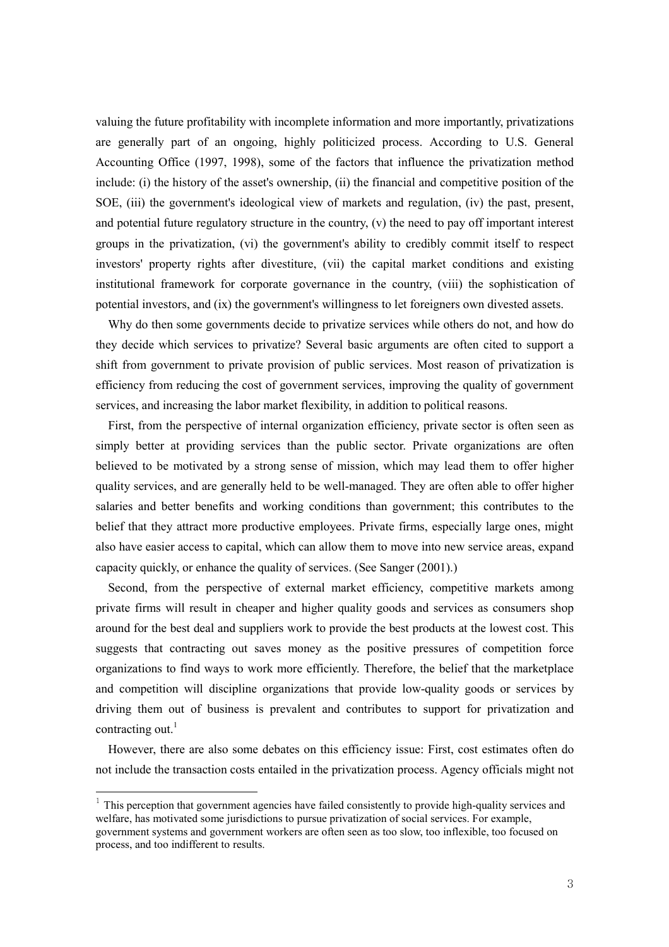valuing the future profitability with incomplete information and more importantly, privatizations are generally part of an ongoing, highly politicized process. According to U.S. General Accounting Office (1997, 1998), some of the factors that influence the privatization method include: (i) the history of the asset's ownership, (ii) the financial and competitive position of the SOE, (iii) the government's ideological view of markets and regulation, (iv) the past, present, and potential future regulatory structure in the country, (v) the need to pay off important interest groups in the privatization, (vi) the government's ability to credibly commit itself to respect investors' property rights after divestiture, (vii) the capital market conditions and existing institutional framework for corporate governance in the country, (viii) the sophistication of potential investors, and (ix) the government's willingness to let foreigners own divested assets.

Why do then some governments decide to privatize services while others do not, and how do they decide which services to privatize? Several basic arguments are often cited to support a shift from government to private provision of public services. Most reason of privatization is efficiency from reducing the cost of government services, improving the quality of government services, and increasing the labor market flexibility, in addition to political reasons.

First, from the perspective of internal organization efficiency, private sector is often seen as simply better at providing services than the public sector. Private organizations are often believed to be motivated by a strong sense of mission, which may lead them to offer higher quality services, and are generally held to be well-managed. They are often able to offer higher salaries and better benefits and working conditions than government; this contributes to the belief that they attract more productive employees. Private firms, especially large ones, might also have easier access to capital, which can allow them to move into new service areas, expand capacity quickly, or enhance the quality of services. (See Sanger (2001).)

Second, from the perspective of external market efficiency, competitive markets among private firms will result in cheaper and higher quality goods and services as consumers shop around for the best deal and suppliers work to provide the best products at the lowest cost. This suggests that contracting out saves money as the positive pressures of competition force organizations to find ways to work more efficiently. Therefore, the belief that the marketplace and competition will discipline organizations that provide low-quality goods or services by driving them out of business is prevalent and contributes to support for privatization and contracting out.<sup>1</sup>

However, there are also some debates on this efficiency issue: First, cost estimates often do not include the transaction costs entailed in the privatization process. Agency officials might not

 $1$  This perception that government agencies have failed consistently to provide high-quality services and welfare, has motivated some jurisdictions to pursue privatization of social services. For example, government systems and government workers are often seen as too slow, too inflexible, too focused on process, and too indifferent to results.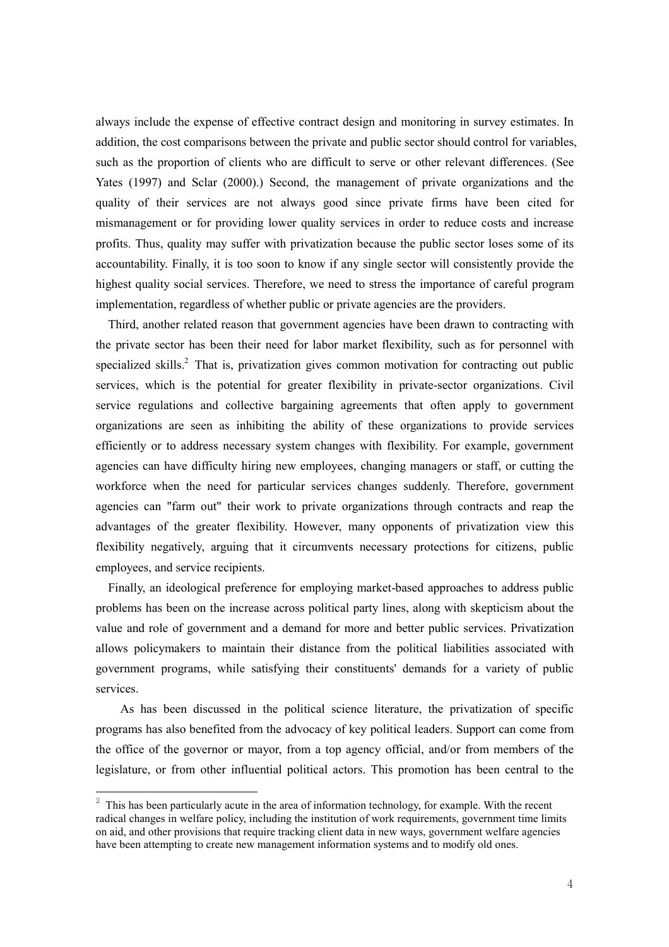always include the expense of effective contract design and monitoring in survey estimates. In addition, the cost comparisons between the private and public sector should control for variables, such as the proportion of clients who are difficult to serve or other relevant differences. (See Yates (1997) and Sclar (2000).) Second, the management of private organizations and the quality of their services are not always good since private firms have been cited for mismanagement or for providing lower quality services in order to reduce costs and increase profits. Thus, quality may suffer with privatization because the public sector loses some of its accountability. Finally, it is too soon to know if any single sector will consistently provide the highest quality social services. Therefore, we need to stress the importance of careful program implementation, regardless of whether public or private agencies are the providers.

Third, another related reason that government agencies have been drawn to contracting with the private sector has been their need for labor market flexibility, such as for personnel with specialized skills.<sup>2</sup> That is, privatization gives common motivation for contracting out public services, which is the potential for greater flexibility in private-sector organizations. Civil service regulations and collective bargaining agreements that often apply to government organizations are seen as inhibiting the ability of these organizations to provide services efficiently or to address necessary system changes with flexibility. For example, government agencies can have difficulty hiring new employees, changing managers or staff, or cutting the workforce when the need for particular services changes suddenly. Therefore, government agencies can "farm out" their work to private organizations through contracts and reap the advantages of the greater flexibility. However, many opponents of privatization view this flexibility negatively, arguing that it circumvents necessary protections for citizens, public employees, and service recipients.

Finally, an ideological preference for employing market-based approaches to address public problems has been on the increase across political party lines, along with skepticism about the value and role of government and a demand for more and better public services. Privatization allows policymakers to maintain their distance from the political liabilities associated with government programs, while satisfying their constituents' demands for a variety of public services.

As has been discussed in the political science literature, the privatization of specific programs has also benefited from the advocacy of key political leaders. Support can come from the office of the governor or mayor, from a top agency official, and/or from members of the legislature, or from other influential political actors. This promotion has been central to the

 $2^2$  This has been particularly acute in the area of information technology, for example. With the recent radical changes in welfare policy, including the institution of work requirements, government time limits on aid, and other provisions that require tracking client data in new ways, government welfare agencies have been attempting to create new management information systems and to modify old ones.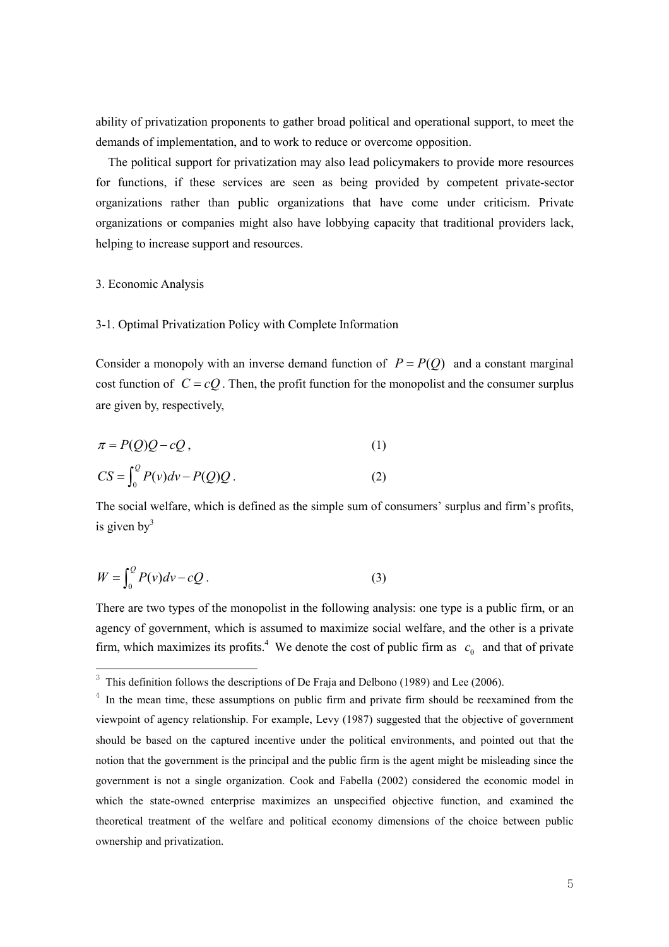ability of privatization proponents to gather broad political and operational support, to meet the demands of implementation, and to work to reduce or overcome opposition.

The political support for privatization may also lead policymakers to provide more resources for functions, if these services are seen as being provided by competent private-sector organizations rather than public organizations that have come under criticism. Private organizations or companies might also have lobbying capacity that traditional providers lack, helping to increase support and resources.

#### 3. Economic Analysis

### 3-1. Optimal Privatization Policy with Complete Information

Consider a monopoly with an inverse demand function of  $P = P(Q)$  and a constant marginal cost function of  $C = cQ$ . Then, the profit function for the monopolist and the consumer surplus are given by, respectively,

$$
\pi = P(Q)Q - cQ, \qquad (1)
$$
  
\n
$$
CS = \int_0^Q P(v)dv - P(Q)Q.
$$

The social welfare, which is defined as the simple sum of consumers' surplus and firm's profits, is given  $by<sup>3</sup>$ 

$$
W = \int_0^Q P(v)dv - cQ.
$$
 (3)

<u> 1989 - Johann Barn, mars ann an t-Amhair an t-Amhair an t-Amhair an t-Amhair an t-Amhair an t-Amhair an t-Amh</u>

There are two types of the monopolist in the following analysis: one type is a public firm, or an agency of government, which is assumed to maximize social welfare, and the other is a private firm, which maximizes its profits.<sup>4</sup> We denote the cost of public firm as  $c_0$  and that of private

 $3$  This definition follows the descriptions of De Fraja and Delbono (1989) and Lee (2006).

 $4\,$  In the mean time, these assumptions on public firm and private firm should be reexamined from the viewpoint of agency relationship. For example, Levy (1987) suggested that the objective of government should be based on the captured incentive under the political environments, and pointed out that the notion that the government is the principal and the public firm is the agent might be misleading since the government is not a single organization. Cook and Fabella (2002) considered the economic model in which the state-owned enterprise maximizes an unspecified objective function, and examined the theoretical treatment of the welfare and political economy dimensions of the choice between public ownership and privatization.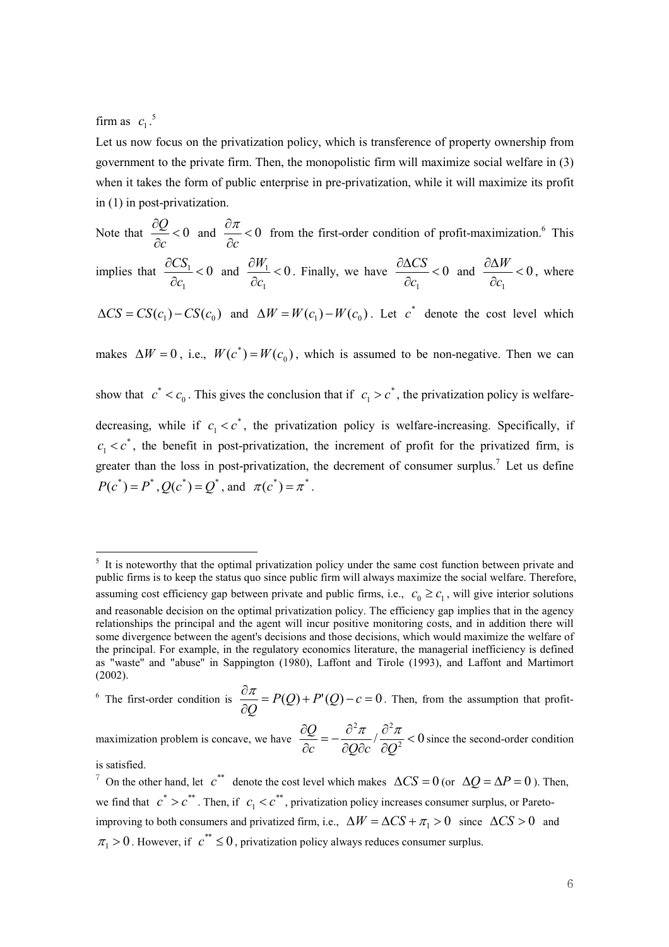firm as  $c_1$ .<sup>5</sup>

Let us now focus on the privatization policy, which is transference of property ownership from government to the private firm. Then, the monopolistic firm will maximize social welfare in (3) when it takes the form of public enterprise in pre-privatization, while it will maximize its profit in (1) in post-privatization.

Note that  $\frac{\partial Q}{\partial c} < 0$ ∂ c  $\frac{Q}{\partial c}$  < 0 and  $\frac{\partial \pi}{\partial c}$  < 0 ∂ c  $\frac{\pi}{\sigma}$  < 0 from the first-order condition of profit-maximization.<sup>6</sup> This implies that  $\frac{0.06}{2} < 0$ 1  $\frac{1}{\epsilon}$ ∂ ∂ c  $\frac{CS_1}{\sim}$  < 0 and  $\frac{\partial W_1}{\partial}$  < 0 1  $\frac{1}{\epsilon}$ ∂ ∂ c  $\frac{W_1}{W_2}$  < 0. Finally, we have  $\frac{\partial \Delta CS}{\partial \Delta}$  < 0 1  $\overline{a}$ ∂ ∂∆ c  $\frac{CS}{\leq 0}$  and  $\frac{\partial \Delta W}{\partial \rho} < 0$ 1  $\overline{a}$ ∂ ∂∆ c  $\frac{W}{m}$  < 0, where  $\Delta CS = CS(c_1) - CS(c_0)$  and  $\Delta W = W(c_1) - W(c_0)$ . Let  $c^*$  denote the cost level which makes  $\Delta W = 0$ , i.e.,  $W(c^*) = W(c_0)$ , which is assumed to be non-negative. Then we can show that  $c^* < c_0$ . This gives the conclusion that if  $c_1 > c^*$ , the privatization policy is welfaredecreasing, while if  $c_1 < c^*$ , the privatization policy is welfare-increasing. Specifically, if \*  $c_1 < c^*$ , the benefit in post-privatization, the increment of profit for the privatized firm, is greater than the loss in post-privatization, the decrement of consumer surplus.<sup>7</sup> Let us define  $P(c^*) = P^*$ ,  $Q(c^*) = Q^*$ , and  $\pi(c^*) = \pi^*$ .

<sup>6</sup> The first-order condition is  $\frac{\partial \mathcal{H}}{\partial Q} = P(Q) + P'(Q) - c = 0$ ∂  $P(Q) + P'(Q) - c$  $\overline{\varrho}$  $\frac{\pi}{2} = P(Q) + P'(Q) - c = 0$ . Then, from the assumption that profit-

maximization problem is concave, we have  $\frac{\partial \mathcal{L}}{\partial q} = -\frac{\partial \mathcal{L}}{\partial Q \partial q} / \frac{\partial \mathcal{L}}{\partial Q^2} < 0$  $\frac{2\pi}{\pi}$  /  $\frac{\partial^2 \pi}{\partial \tau}$  < ∂ ∂ ∂ ∂  $=-\frac{\partial}{\partial x}$ ∂ ∂  $c$  dQdc dQ  $\frac{Q}{\epsilon} = -\frac{\partial^2 \pi}{\partial \theta} / \frac{\partial^2 \pi}{\partial \theta^2} < 0$  since the second-order condition

is satisfied.

<sup>5</sup> It is noteworthy that the optimal privatization policy under the same cost function between private and public firms is to keep the status quo since public firm will always maximize the social welfare. Therefore, assuming cost efficiency gap between private and public firms, i.e.,  $c_0 \ge c_1$ , will give interior solutions and reasonable decision on the optimal privatization policy. The efficiency gap implies that in the agency relationships the principal and the agent will incur positive monitoring costs, and in addition there will some divergence between the agent's decisions and those decisions, which would maximize the welfare of the principal. For example, in the regulatory economics literature, the managerial inefficiency is defined as "waste'' and "abuse'' in Sappington (1980), Laffont and Tirole (1993), and Laffont and Martimort (2002).

<sup>&</sup>lt;sup>7</sup> On the other hand, let  $c^{**}$  denote the cost level which makes  $\Delta CS = 0$  (or  $\Delta Q = \Delta P = 0$ ). Then, we find that  $c^* > c^{**}$ . Then, if  $c_1 < c^{**}$ , privatization policy increases consumer surplus, or Paretoimproving to both consumers and privatized firm, i.e.,  $\Delta W = \Delta CS + \pi_1 > 0$  since  $\Delta CS > 0$  and  $\pi_1 > 0$ . However, if  $c^{**} \le 0$ , privatization policy always reduces consumer surplus.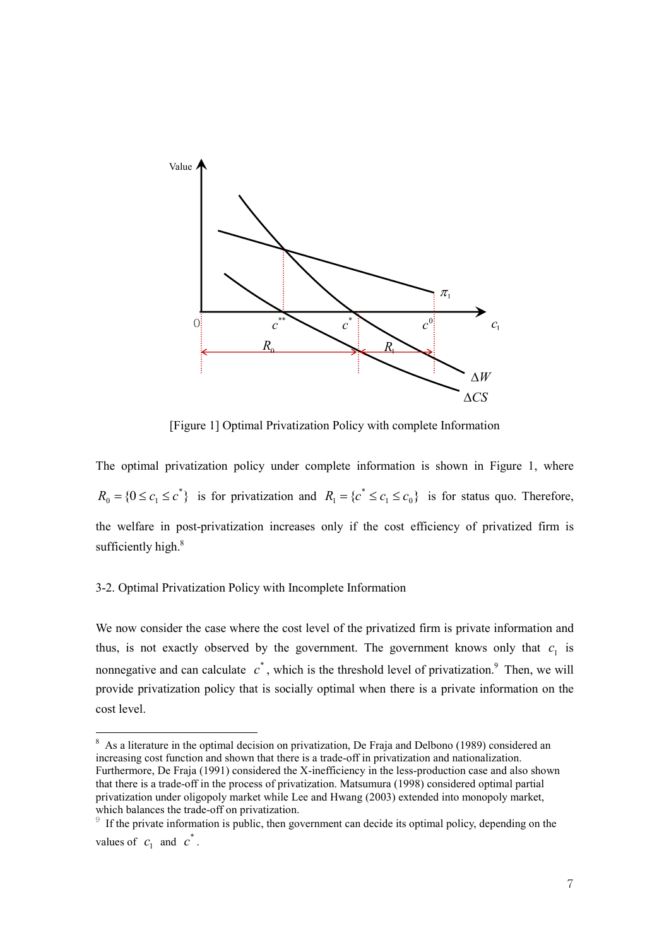

[Figure 1] Optimal Privatization Policy with complete Information

The optimal privatization policy under complete information is shown in Figure 1, where  $R_0 = \{0 \leq c_1 \leq c^*\}\$ is for privatization and  $R_1 = \{c^* \leq c_1 \leq c_0\}$ is for status quo. Therefore, the welfare in post-privatization increases only if the cost efficiency of privatized firm is sufficiently high.<sup>8</sup>

## 3-2. Optimal Privatization Policy with Incomplete Information

We now consider the case where the cost level of the privatized firm is private information and thus, is not exactly observed by the government. The government knows only that  $c_1$  is nonnegative and can calculate  $c^*$ , which is the threshold level of privatization.<sup>9</sup> Then, we will provide privatization policy that is socially optimal when there is a private information on the cost level.

<sup>&</sup>lt;sup>8</sup> As a literature in the optimal decision on privatization, De Fraja and Delbono (1989) considered an increasing cost function and shown that there is a trade-off in privatization and nationalization. Furthermore, De Fraja (1991) considered the X-inefficiency in the less-production case and also shown that there is a trade-off in the process of privatization. Matsumura (1998) considered optimal partial privatization under oligopoly market while Lee and Hwang (2003) extended into monopoly market, which balances the trade-off on privatization.

 $\beta$  If the private information is public, then government can decide its optimal policy, depending on the values of  $c_1$  and  $c^*$ .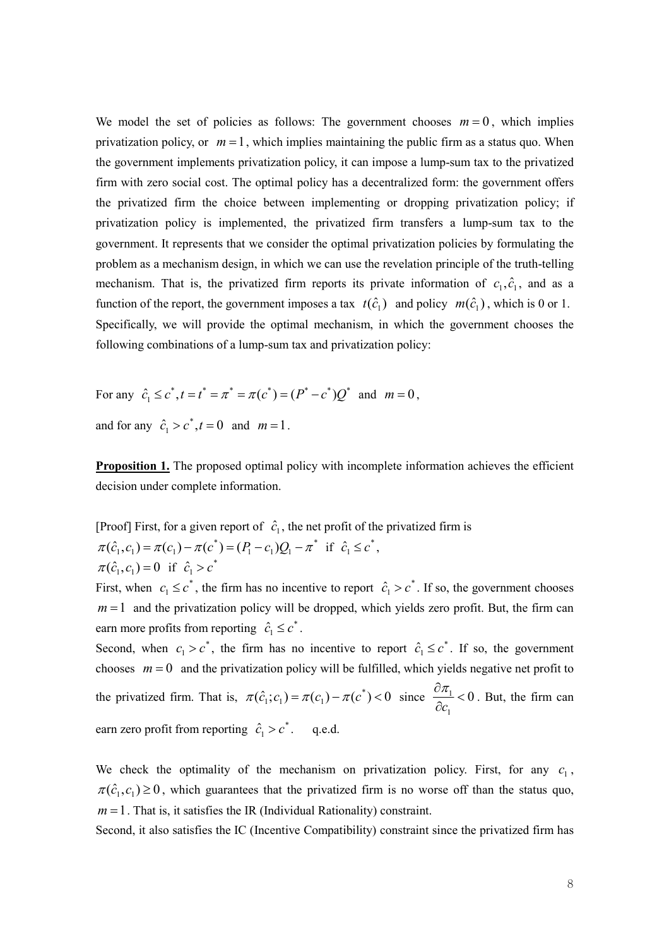We model the set of policies as follows: The government chooses  $m = 0$ , which implies privatization policy, or  $m = 1$ , which implies maintaining the public firm as a status quo. When the government implements privatization policy, it can impose a lump-sum tax to the privatized firm with zero social cost. The optimal policy has a decentralized form: the government offers the privatized firm the choice between implementing or dropping privatization policy; if privatization policy is implemented, the privatized firm transfers a lump-sum tax to the government. It represents that we consider the optimal privatization policies by formulating the problem as a mechanism design, in which we can use the revelation principle of the truth-telling mechanism. That is, the privatized firm reports its private information of  $c_1, \hat{c}_1$ , and as a function of the report, the government imposes a tax  $t(\hat{c}_1)$  and policy  $m(\hat{c}_1)$ , which is 0 or 1. Specifically, we will provide the optimal mechanism, in which the government chooses the following combinations of a lump-sum tax and privatization policy:

For any  $\hat{c}_1 \leq c^*$ ,  $t = t^* = \pi^* = \pi(c^*) = (P^* - c^*)Q^*$  and  $m = 0$ , and for any  $\hat{c}_1 > c^*$ ,  $t = 0$  and  $m = 1$ .

Proposition 1. The proposed optimal policy with incomplete information achieves the efficient decision under complete information.

[Proof] First, for a given report of  $\hat{c}_1$ , the net profit of the privatized firm is \* 1  $v_1/v_1$  $\pi(\hat{c}_1, c_1) = \pi(c_1) - \pi(c^*) = (P_1 - c_1)Q_1 - \pi^*$  if  $\hat{c}_1 \leq c^*$ ,  $\pi(\hat{c}_1, c_1) = 0$  if  $\hat{c}_1 > c^*$ 

First, when  $c_1 \leq c^*$ , the firm has no incentive to report  $\hat{c}_1 > c^*$ . If so, the government chooses  $m = 1$  and the privatization policy will be dropped, which yields zero profit. But, the firm can earn more profits from reporting  $\hat{c}_1 \leq c^*$ .

Second, when  $c_1 > c^*$ , the firm has no incentive to report  $\hat{c}_1 \leq c^*$ . If so, the government chooses  $m = 0$  and the privatization policy will be fulfilled, which yields negative net profit to the privatized firm. That is,  $\pi(\hat{c}_1; c_1) = \pi(c_1) - \pi(c^*) < 0$  since  $\frac{\partial \hat{a}_1}{\partial \hat{b}_1} < 0$ 1  $\frac{1}{\epsilon}$ ∂ ∂ c  $\frac{\pi_1}{\pi}$  < 0. But, the firm can earn zero profit from reporting  $\hat{c}_1 > c^*$ . q.e.d.

We check the optimality of the mechanism on privatization policy. First, for any  $c_1$ ,  $\pi(\hat{c}_1, c_1) \ge 0$ , which guarantees that the privatized firm is no worse off than the status quo,  $m = 1$ . That is, it satisfies the IR (Individual Rationality) constraint.

Second, it also satisfies the IC (Incentive Compatibility) constraint since the privatized firm has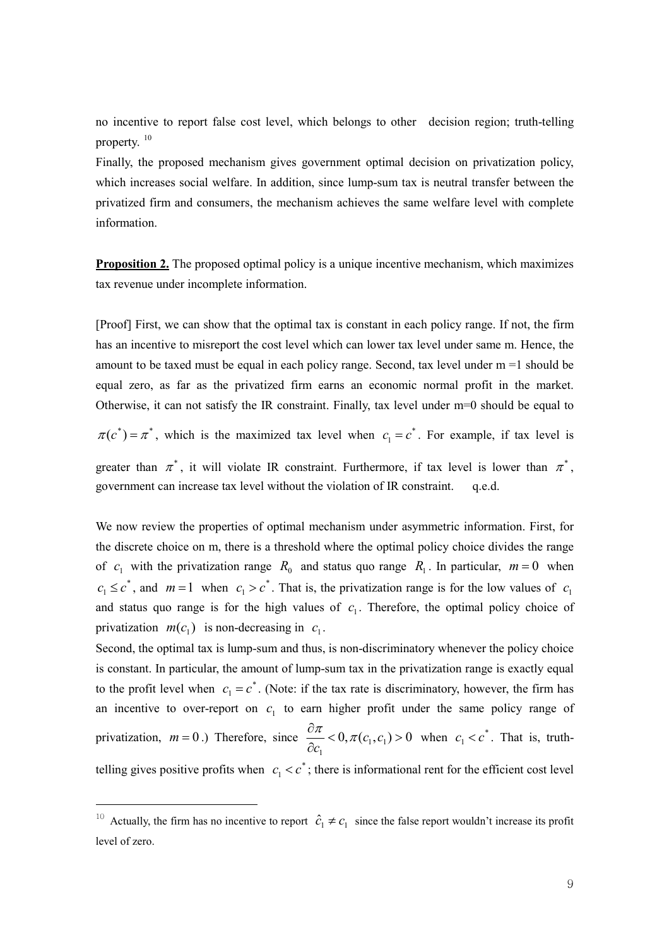no incentive to report false cost level, which belongs to other decision region; truth-telling property.<sup>10</sup>

Finally, the proposed mechanism gives government optimal decision on privatization policy, which increases social welfare. In addition, since lump-sum tax is neutral transfer between the privatized firm and consumers, the mechanism achieves the same welfare level with complete information.

**Proposition 2.** The proposed optimal policy is a unique incentive mechanism, which maximizes tax revenue under incomplete information.

[Proof] First, we can show that the optimal tax is constant in each policy range. If not, the firm has an incentive to misreport the cost level which can lower tax level under same m. Hence, the amount to be taxed must be equal in each policy range. Second, tax level under m =1 should be equal zero, as far as the privatized firm earns an economic normal profit in the market. Otherwise, it can not satisfy the IR constraint. Finally, tax level under m=0 should be equal to  $\pi(c^*) = \pi^*$ , which is the maximized tax level when  $c_1 = c^*$ . For example, if tax level is greater than  $\pi^*$ , it will violate IR constraint. Furthermore, if tax level is lower than  $\pi^*$ ,

government can increase tax level without the violation of IR constraint. q.e.d.

We now review the properties of optimal mechanism under asymmetric information. First, for the discrete choice on m, there is a threshold where the optimal policy choice divides the range of  $c_1$  with the privatization range  $R_0$  and status quo range  $R_1$ . In particular,  $m = 0$  when \*  $c_1 \leq c^*$ , and  $m=1$  when  $c_1 > c^*$ . That is, the privatization range is for the low values of  $c_1$ and status quo range is for the high values of  $c<sub>1</sub>$ . Therefore, the optimal policy choice of privatization  $m(c_1)$  is non-decreasing in  $c_1$ .

Second, the optimal tax is lump-sum and thus, is non-discriminatory whenever the policy choice is constant. In particular, the amount of lump-sum tax in the privatization range is exactly equal to the profit level when  $c_1 = c^*$ . (Note: if the tax rate is discriminatory, however, the firm has an incentive to over-report on  $c_1$  to earn higher profit under the same policy range of privatization,  $m = 0$ .) Therefore, since  $\frac{\partial n}{\partial s} < 0$ ,  $\pi(c_1, c_1) > 0$ 1  $< 0, \pi(c_1, c_1) >$ ∂ ∂  $c_{1}^{\dagger}, c$  $\frac{\pi}{c_1} < 0, \pi(c_1, c_1) > 0$  when  $c_1 < c^*$ . That is, truthtelling gives positive profits when  $c_1 < c^*$ ; there is informational rent for the efficient cost level

<u> 1989 - Johann Barn, mars ann an t-Amhair an t-Amhair an t-Amhair an t-Amhair an t-Amhair an t-Amhair an t-Amh</u>

<sup>&</sup>lt;sup>10</sup> Actually, the firm has no incentive to report  $\hat{c}_1 \neq c_1$  since the false report wouldn't increase its profit level of zero.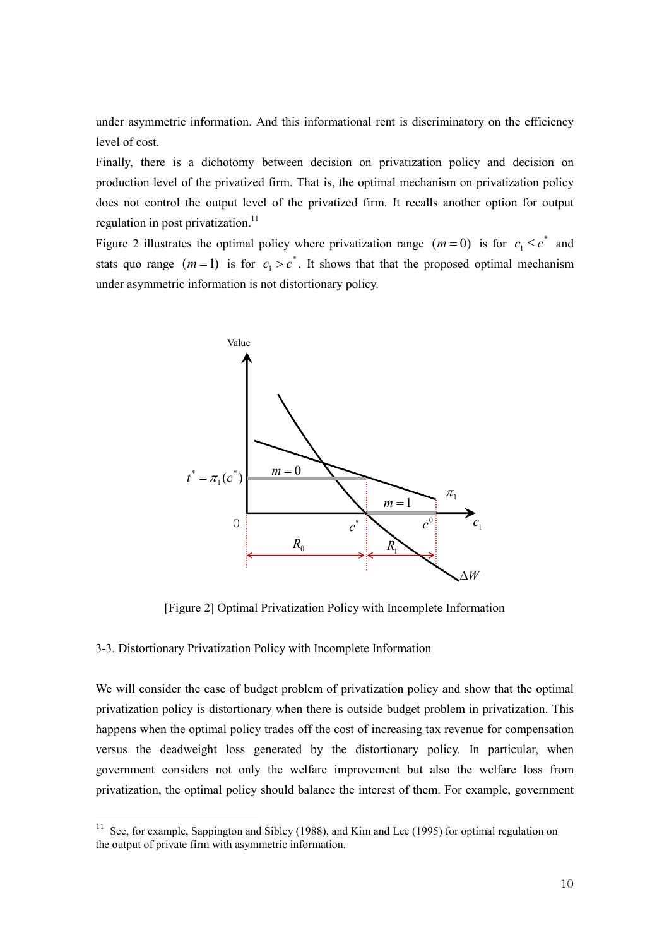level of cost.

Finally, there is a dichotomy between decision on privatization policy and decision on production level of the privatized firm. That is, the optimal mechanism on privatization policy does not control the output level of the privatized firm. It recalls another option for output regulation in post privatization. $^{11}$ 

Figure 2 illustrates the optimal policy where privatization range  $(m=0)$  is for  $c_1 \leq c^*$  and stats quo range  $(m=1)$  is for  $c_1 > c^*$ . It shows that that the proposed optimal mechanism under asymmetric information is not distortionary policy.



[Figure 2] Optimal Privatization Policy with Incomplete Information

# 3-3. Distortionary Privatization Policy with Incomplete Information

We will consider the case of budget problem of privatization policy and show that the optimal privatization policy is distortionary when there is outside budget problem in privatization. This happens when the optimal policy trades off the cost of increasing tax revenue for compensation versus the deadweight loss generated by the distortionary policy. In particular, when government considers not only the welfare improvement but also the welfare loss from privatization, the optimal policy should balance the interest of them. For example, government

<sup>&</sup>lt;sup>11</sup> See, for example, Sappington and Sibley (1988), and Kim and Lee (1995) for optimal regulation on the output of private firm with asymmetric information.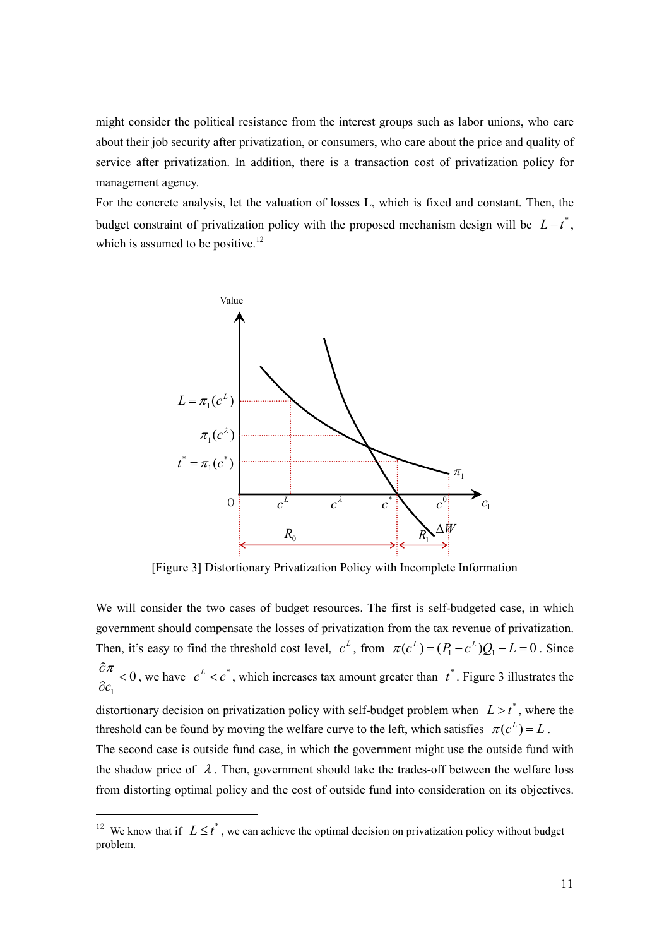might consider the political resistance from the interest groups such as labor unions, who care about their job security after privatization, or consumers, who care about the price and quality of service after privatization. In addition, there is a transaction cost of privatization policy for management agency.

For the concrete analysis, let the valuation of losses L, which is fixed and constant. Then, the budget constraint of privatization policy with the proposed mechanism design will be  $L - t^*$ , which is assumed to be positive.<sup>12</sup>



[Figure 3] Distortionary Privatization Policy with Incomplete Information

We will consider the two cases of budget resources. The first is self-budgeted case, in which government should compensate the losses of privatization from the tax revenue of privatization. Then, it's easy to find the threshold cost level,  $c^L$ , from  $\pi(c^L) = (P_1 - c^L)Q_1 - L = 0$ . Since  $\boldsymbol{0}$ 1  $\overline{\phantom{a}}$ ∂ ∂ c  $\frac{\pi}{c}$  < 0, we have  $c^2 < c^*$ , which increases tax amount greater than  $t^*$ . Figure 3 illustrates the

distortionary decision on privatization policy with self-budget problem when  $L > t^*$ , where the threshold can be found by moving the welfare curve to the left, which satisfies  $\pi(c^L) = L$ .

The second case is outside fund case, in which the government might use the outside fund with the shadow price of  $\lambda$ . Then, government should take the trades-off between the welfare loss from distorting optimal policy and the cost of outside fund into consideration on its objectives.

<u> 1989 - Johann Barn, mars ann an t-Amhair an t-Amhair an t-Amhair an t-Amhair an t-Amhair an t-Amhair an t-Amh</u>

<sup>&</sup>lt;sup>12</sup> We know that if  $L \leq t^*$ , we can achieve the optimal decision on privatization policy without budget problem.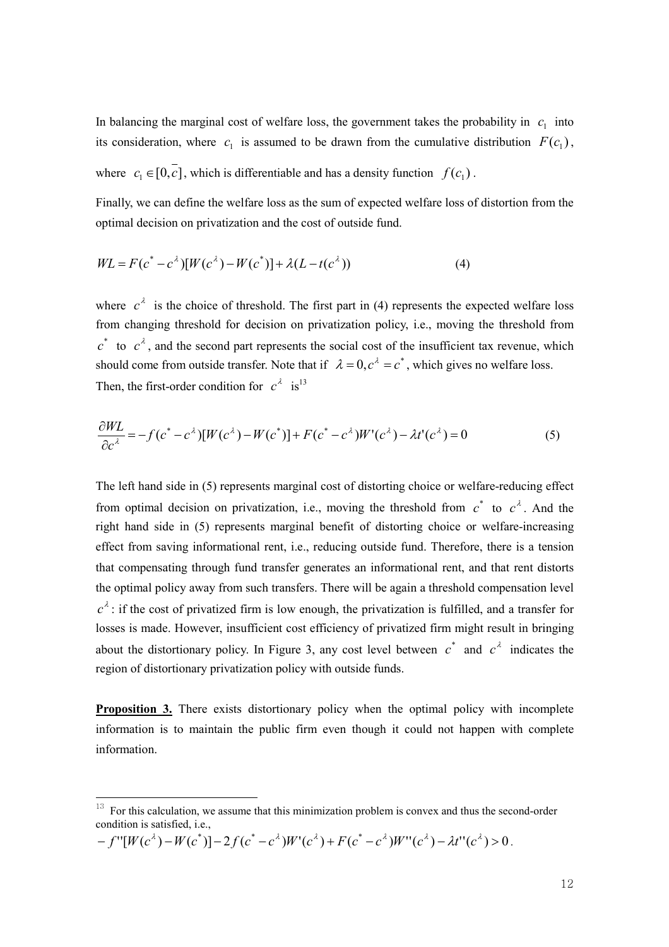In balancing the marginal cost of welfare loss, the government takes the probability in  $c_1$  into its consideration, where  $c_1$  is assumed to be drawn from the cumulative distribution  $F(c_1)$ , where  $c_1 \in [0, c]$ , which is differentiable and has a density function  $f(c_1)$ .

Finally, we can define the welfare loss as the sum of expected welfare loss of distortion from the optimal decision on privatization and the cost of outside fund.

$$
WL = F(c^* - c^{\lambda})[W(c^{\lambda}) - W(c^*)] + \lambda(L - t(c^{\lambda}))
$$
\n(4)

where  $c^{\lambda}$  is the choice of threshold. The first part in (4) represents the expected welfare loss from changing threshold for decision on privatization policy, i.e., moving the threshold from  $c^*$  to  $c^{\lambda}$ , and the second part represents the social cost of the insufficient tax revenue, which should come from outside transfer. Note that if  $\lambda = 0, c^{\lambda} = c^*$ , which gives no welfare loss. Then, the first-order condition for  $c^{\lambda}$  is<sup>13</sup>

$$
\frac{\partial WL}{\partial c^{\lambda}} = -f(c^* - c^{\lambda})[W(c^{\lambda}) - W(c^*)] + F(c^* - c^{\lambda})W'(c^{\lambda}) - \lambda t'(c^{\lambda}) = 0
$$
\n(5)

The left hand side in (5) represents marginal cost of distorting choice or welfare-reducing effect from optimal decision on privatization, i.e., moving the threshold from  $c^*$  to  $c^{\lambda}$ . And the right hand side in (5) represents marginal benefit of distorting choice or welfare-increasing effect from saving informational rent, i.e., reducing outside fund. Therefore, there is a tension that compensating through fund transfer generates an informational rent, and that rent distorts the optimal policy away from such transfers. There will be again a threshold compensation level  $c^{\lambda}$ : if the cost of privatized firm is low enough, the privatization is fulfilled, and a transfer for losses is made. However, insufficient cost efficiency of privatized firm might result in bringing about the distortionary policy. In Figure 3, any cost level between  $c^*$  and  $c^{\lambda}$  indicates the region of distortionary privatization policy with outside funds.

Proposition 3. There exists distortionary policy when the optimal policy with incomplete information is to maintain the public firm even though it could not happen with complete information.

$$
-f''[W(c^{\lambda})-W(c^*)]-2f(c^*-c^{\lambda})W'(c^{\lambda})+F(c^*-c^{\lambda})W''(c^{\lambda})-\lambda t''(c^{\lambda})>0.
$$

<sup>13</sup>  For this calculation, we assume that this minimization problem is convex and thus the second-order condition is satisfied, i.e.,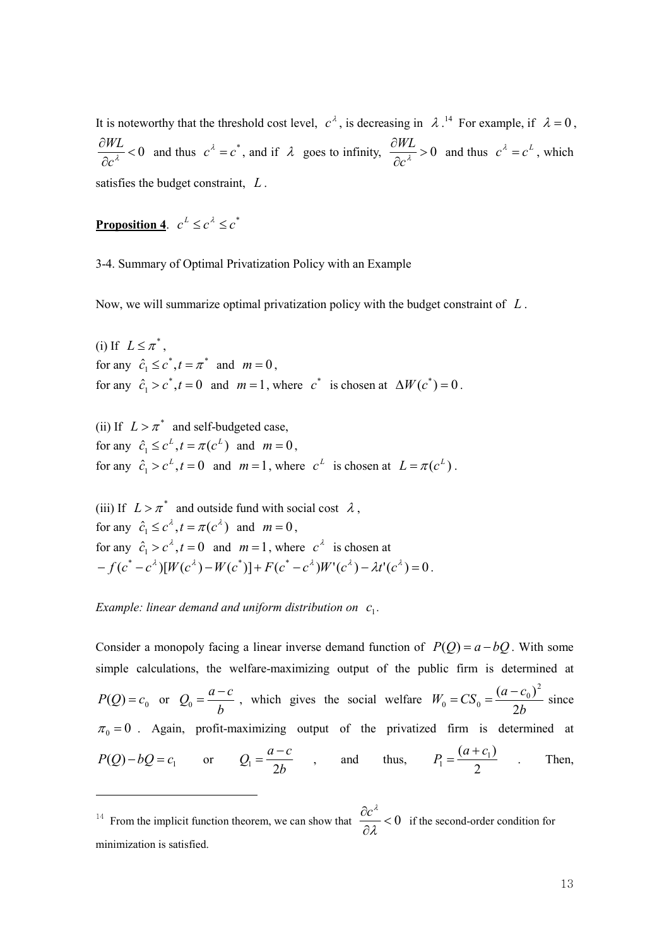$c^{\lambda}$ , is decreasing in  $\lambda$ .<sup>14</sup> For example, if  $\lambda = 0$ ,  $\frac{\partial W}{\partial c^{\lambda}}$  < 0 ∂  $c^{\lambda}$  $\frac{WIL}{\partial c^{\lambda}} < 0$  and thus  $c^{\lambda} = c^*$ , and if  $\lambda$  goes to infinity,  $\frac{\partial WIL}{\partial c^{\lambda}} > 0$ ∂  $c^{\lambda}$  $\frac{WL}{2} > 0$  and thus  $c^{\lambda} = c^{L}$ , which satisfies the budget constraint, L.

**Proposition 4.**  $c^L \leq c^{\lambda} \leq c^*$ 

3-4. Summary of Optimal Privatization Policy with an Example

Now, we will summarize optimal privatization policy with the budget constraint of  $L$ .

(i) If  $L \leq \pi^*$ , for any  $\hat{c}_1 \leq c^*$ ,  $t = \pi^*$  and  $m = 0$ , for any  $\hat{c}_1 > c^*$ ,  $t = 0$  and  $m = 1$ , where  $c^*$  is chosen at  $\Delta W(c^*) = 0$ .

(ii) If  $L > \pi^*$  and self-budgeted case, for any  $\hat{c}_1 \leq c^L, t = \pi(c^L)$  $\hat{c}_1 \leq c^L$ ,  $t = \pi(c^L)$  and  $m = 0$ , for any  $\hat{c}_1 > c^L$ ,  $t = 0$  and  $m = 1$ , where  $c^L$  is chosen at  $L = \pi(c^L)$ .

(iii) If  $L > \pi^*$  and outside fund with social cost  $\lambda$ , for any  $\hat{c}_1 \leq c^{\lambda}$ ,  $t = \pi(c^{\lambda})$  and  $m = 0$ , for any  $\hat{c}_1 > c^{\lambda}$ ,  $t = 0$  and  $m = 1$ , where  $c^{\lambda}$  is chosen at  $-f(c^* - c^{\lambda})[W(c^{\lambda}) - W(c^*)] + F(c^* - c^{\lambda})W'(c^{\lambda}) - \lambda t'(c^{\lambda}) = 0.$ 

Example: linear demand and uniform distribution on  $c_1$ .

<u> 1989 - Johann Barn, mars ann an t-Amhair an t-Amhair an t-Amhair an t-Amhair an t-Amhair an t-Amhair an t-Amh</u>

It is noteworthy that the threshold cost level,  $c^4$ , is decreasing in  $\lambda$ .<sup>2</sup> for example, if  $\lambda = 0$ <br>  $\frac{\partial HT}{\partial c^4} < 0$  and thus  $c^2 - c^2$ , and if  $\lambda$  goes to infinity,  $\frac{\partial HT}{\partial c^4} > 0$  and thus  $c^2 - c^2$ , which<br> Consider a monopoly facing a linear inverse demand function of  $P(Q) = a - bQ$ . With some simple calculations, the welfare-maximizing output of the public firm is determined at  $P(Q) = c_0$  or  $Q_0 = \frac{a-c}{l}$ b  $=\frac{a-c}{l}$ , which gives the social welfare b  $W_0 = CS_0 = \frac{(a-c)}{24}$ 2  $(a - c_0)^2$  $C_0 = CS_0 = \frac{(u - c_0)}{2h}$  $=CS_0 = \frac{(a-c_0)^2}{2l}$  since  $\pi_0 = 0$ . Again, profit-maximizing output of the privatized firm is determined at  $P(Q) - bQ = c_1$  or  $Q_1 = \frac{a^2}{2}$  $Q_1 = \frac{a-c}{2l}$ b  $=\frac{a-c}{2l}$ , and thus, 2  $P_1 = \frac{(a+c_1)}{2}$  $P_1 = \frac{(a+c)}{2}$  $=\frac{(a+c_1)}{2}$  . Then,

<sup>&</sup>lt;sup>14</sup> From the implicit function theorem, we can show that  $\frac{OC}{\partial \lambda} < 0$ ∂ λ  $\frac{c^{\lambda}}{c}$  < 0 if the second-order condition for minimization is satisfied.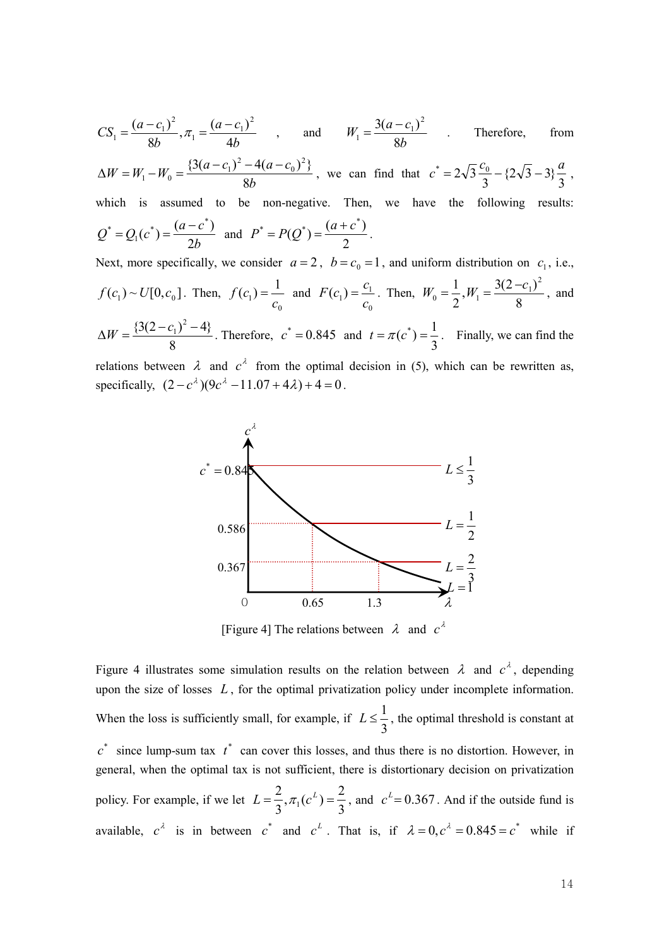$$
CS_1 = \frac{(a-c_1)^2}{8b}, \pi_1 = \frac{(a-c_1)^2}{4b}, \text{ and } W_1 = \frac{3(a-c_1)^2}{8b} \text{ Therefore, from } \Delta W = W_1 - W_0 = \frac{(3(a-c_1)^2 - 4(a-c_0)^2)}{8b}, \text{ we can find that } c^* = 2\sqrt{3} \frac{c_0}{3} - \frac{2\sqrt{3} - 3}{3} \frac{a}{3},
$$
  
which is assumed to be non-negative. Then, we have the following results:  
 $Q^* = Q_1(c^*) = \frac{(a-c^*)}{2b} \text{ and } P^* = P(Q^*) = \frac{(a+c^*)}{2}$ .  
Next, more specifically, we consider  $a = 2$ ,  $b = c_0 = 1$ , and uniform distribution on  $c_1$ , i.e.,  
 $f(c_1) \sim U[0, c_0]$ . Then,  $f(c_1) = \frac{1}{c_0}$  and  $F(c_1) = \frac{c_1}{c_0}$ . Then,  $W_0 = \frac{1}{2}, W_1 = \frac{3(2-c_1)^2}{8}$ , and  
 $\Delta W = \frac{(3(2-c_1)^2 - 4)}{8}$ . Therefore,  $c^* = 0.845$  and  $t = \pi(c^*) = \frac{1}{3}$ . Finally, we can find the  
relations between  $\lambda$  and  $c^{\lambda}$  from the optimal decision in (5), which can be rewritten as,  
specifically,  $(2-c^{\lambda})(9c^{\lambda} - 11.07 + 4\lambda) + 4 = 0$ .  
 $c^* = 0.845$   
 $0.367$   
 $0.367$   
 $L = \frac{1}{2}$   
 $c^* = 0.845$   
Figure 4) The relations between  $\lambda$  and  $c^{\lambda}$ .  
Figure 4) The relations between  $\lambda$  and  $c^{\lambda}$ , depending  
upon the size of losses *L*, for the optimal privatization policy under incomplete information.  
When the loss is sufficiently small, for example, if  $L \le \frac{1}{3}$ , the optimal threshold is constant at  
 $c^*$  since lump-sum tax  $t^*$  can cover this losses, and thus there is no distortion. However, in  
general, when the optimal tax is not sufficient, there is distortionary decision on privatization  
policy.

relations between  $\lambda$  and  $c^{\lambda}$  from the optimal decision in (5), which can be rewritten as, specifically,  $(2 - c^{\lambda})(9c^{\lambda} - 11.07 + 4\lambda) + 4 = 0$ .



[Figure 4] The relations between  $\lambda$  and  $c^{\lambda}$ 

Figure 4 illustrates some simulation results on the relation between  $\lambda$  and  $c^{\lambda}$ , depending upon the size of losses  $L$ , for the optimal privatization policy under incomplete information. When the loss is sufficiently small, for example, if 3  $L \leq \frac{1}{2}$ , the optimal threshold is constant at  $c^*$  since lump-sum tax  $t^*$  can cover this losses, and thus there is no distortion. However, in general, when the optimal tax is not sufficient, there is distortionary decision on privatization policy. For example, if we let 3  $,\pi_1(c^L) = \frac{2}{3}$ 3  $L = \frac{2}{2}$ ,  $\pi_1(c^L) = \frac{2}{3}$ , and  $c^L = 0.367$ . And if the outside fund is available,  $c^{\lambda}$  is in between  $c^*$  and  $c^L$ . That is, if  $\lambda = 0, c^{\lambda} = 0.845 = c^*$  while if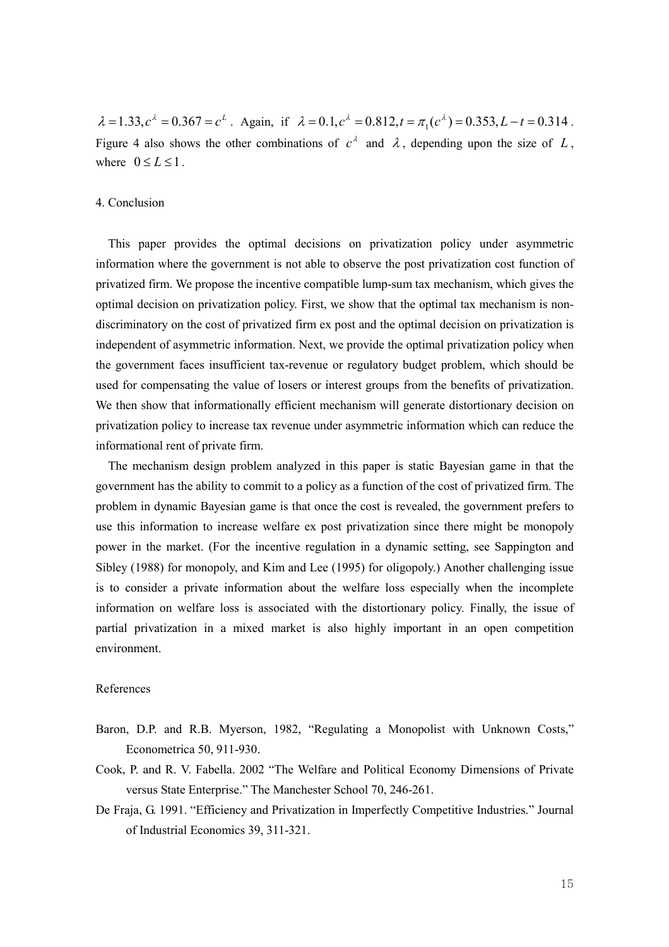$\lambda = 1.33, c^{\lambda} = 0.367 = c^{L}$ . Again, if  $\lambda = 0.1, c^{\lambda} = 0.812, t = \pi_1(c^{\lambda}) = 0.353, L - t = 0.314$ . Figure 4 also shows the other combinations of  $c^{\lambda}$  and  $\lambda$ , depending upon the size of L, where  $0 \le L \le 1$ .

## 4. Conclusion

This paper provides the optimal decisions on privatization policy under asymmetric information where the government is not able to observe the post privatization cost function of privatized firm. We propose the incentive compatible lump-sum tax mechanism, which gives the optimal decision on privatization policy. First, we show that the optimal tax mechanism is nondiscriminatory on the cost of privatized firm ex post and the optimal decision on privatization is independent of asymmetric information. Next, we provide the optimal privatization policy when the government faces insufficient tax-revenue or regulatory budget problem, which should be used for compensating the value of losers or interest groups from the benefits of privatization. We then show that informationally efficient mechanism will generate distortionary decision on privatization policy to increase tax revenue under asymmetric information which can reduce the informational rent of private firm.

The mechanism design problem analyzed in this paper is static Bayesian game in that the government has the ability to commit to a policy as a function of the cost of privatized firm. The problem in dynamic Bayesian game is that once the cost is revealed, the government prefers to use this information to increase welfare ex post privatization since there might be monopoly power in the market. (For the incentive regulation in a dynamic setting, see Sappington and Sibley (1988) for monopoly, and Kim and Lee (1995) for oligopoly.) Another challenging issue is to consider a private information about the welfare loss especially when the incomplete information on welfare loss is associated with the distortionary policy. Finally, the issue of partial privatization in a mixed market is also highly important in an open competition environment.

### References

- Baron, D.P. and R.B. Myerson, 1982, "Regulating a Monopolist with Unknown Costs," Econometrica 50, 911-930.
- Cook, P. and R. V. Fabella. 2002 "The Welfare and Political Economy Dimensions of Private versus State Enterprise." The Manchester School 70, 246-261.
- De Fraja, G. 1991. "Efficiency and Privatization in Imperfectly Competitive Industries." Journal of Industrial Economics 39, 311-321.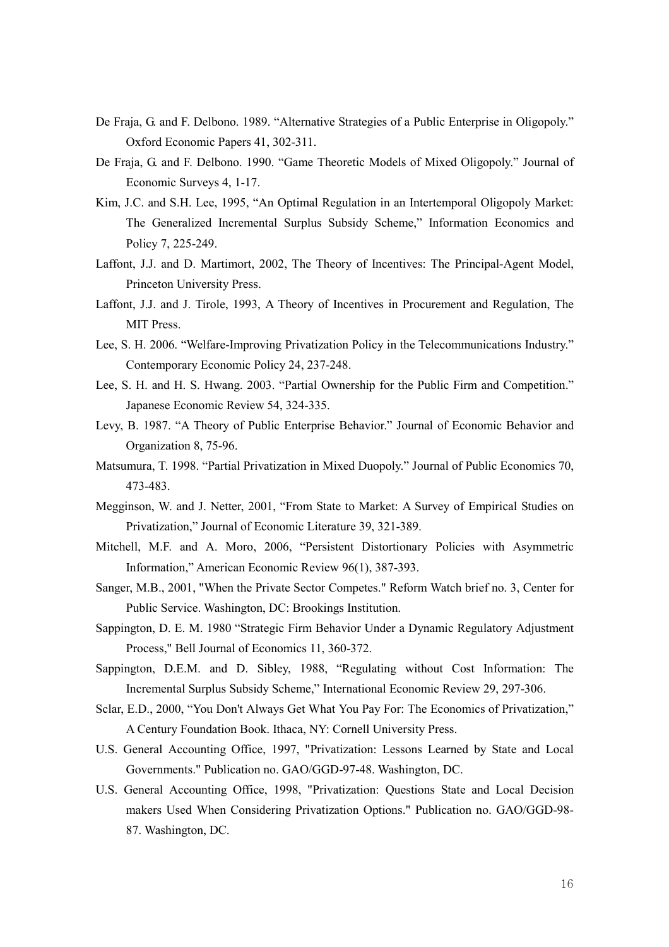- De Fraja, G. and F. Delbono. 1989. "Alternative Strategies of a Public Enterprise in Oligopoly." Oxford Economic Papers 41, 302-311.
- De Fraja, G. and F. Delbono. 1990. "Game Theoretic Models of Mixed Oligopoly." Journal of Economic Surveys 4, 1-17.
- Kim, J.C. and S.H. Lee, 1995, "An Optimal Regulation in an Intertemporal Oligopoly Market: The Generalized Incremental Surplus Subsidy Scheme," Information Economics and Policy 7, 225-249.
- Laffont, J.J. and D. Martimort, 2002, The Theory of Incentives: The Principal-Agent Model, Princeton University Press.
- Laffont, J.J. and J. Tirole, 1993, A Theory of Incentives in Procurement and Regulation, The MIT Press.
- Lee, S. H. 2006. "Welfare-Improving Privatization Policy in the Telecommunications Industry." Contemporary Economic Policy 24, 237-248.
- Lee, S. H. and H. S. Hwang. 2003. "Partial Ownership for the Public Firm and Competition." Japanese Economic Review 54, 324-335.
- Levy, B. 1987. "A Theory of Public Enterprise Behavior." Journal of Economic Behavior and Organization 8, 75-96.
- Matsumura, T. 1998. "Partial Privatization in Mixed Duopoly." Journal of Public Economics 70, 473-483.
- Megginson, W. and J. Netter, 2001, "From State to Market: A Survey of Empirical Studies on Privatization," Journal of Economic Literature 39, 321-389.
- Mitchell, M.F. and A. Moro, 2006, "Persistent Distortionary Policies with Asymmetric Information," American Economic Review 96(1), 387-393.
- Sanger, M.B., 2001, "When the Private Sector Competes." Reform Watch brief no. 3, Center for Public Service. Washington, DC: Brookings Institution.
- Sappington, D. E. M. 1980 "Strategic Firm Behavior Under a Dynamic Regulatory Adjustment Process," Bell Journal of Economics 11, 360-372.
- Sappington, D.E.M. and D. Sibley, 1988, "Regulating without Cost Information: The Incremental Surplus Subsidy Scheme," International Economic Review 29, 297-306.
- Sclar, E.D., 2000, "You Don't Always Get What You Pay For: The Economics of Privatization," A Century Foundation Book. Ithaca, NY: Cornell University Press.
- U.S. General Accounting Office, 1997, "Privatization: Lessons Learned by State and Local Governments." Publication no. GAO/GGD-97-48. Washington, DC.
- U.S. General Accounting Office, 1998, "Privatization: Questions State and Local Decision makers Used When Considering Privatization Options." Publication no. GAO/GGD-98- 87. Washington, DC.